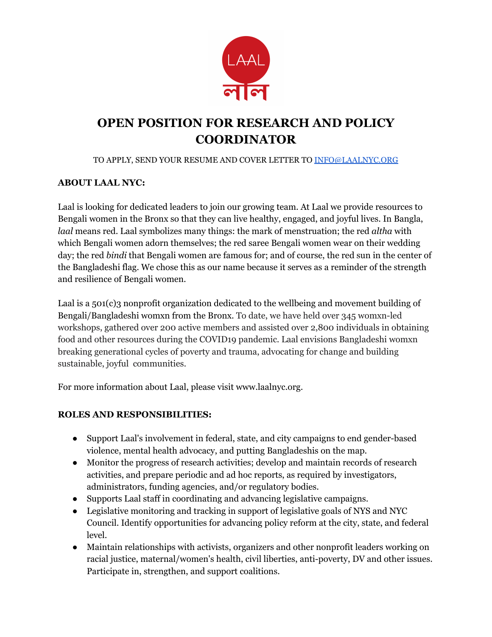

# **OPEN POSITION FOR RESEARCH AND POLICY COORDINATOR**

#### TO APPLY, SEND YOUR RESUME AND COVER LETTER TO [INFO@LAALNYC.ORG](mailto:INFO@LAALNYC.ORG)

#### **ABOUT LAAL NYC:**

Laal is looking for dedicated leaders to join our growing team. At Laal we provide resources to Bengali women in the Bronx so that they can live healthy, engaged, and joyful lives. In Bangla, *laal* means red. Laal symbolizes many things: the mark of menstruation; the red *altha* with which Bengali women adorn themselves; the red saree Bengali women wear on their wedding day; the red *bindi* that Bengali women are famous for; and of course, the red sun in the center of the Bangladeshi flag. We chose this as our name because it serves as a reminder of the strength and resilience of Bengali women.

Laal is a 501(c)3 nonprofit organization dedicated to the wellbeing and movement building of Bengali/Bangladeshi womxn from the Bronx. To date, we have held over 345 womxn-led workshops, gathered over 200 active members and assisted over 2,800 individuals in obtaining food and other resources during the COVID19 pandemic. Laal envisions Bangladeshi womxn breaking generational cycles of poverty and trauma, advocating for change and building sustainable, joyful communities.

For more information about Laal, please visit www.laalnyc.org.

## **ROLES AND RESPONSIBILITIES:**

- Support Laal's involvement in federal, state, and city campaigns to end gender-based violence, mental health advocacy, and putting Bangladeshis on the map.
- Monitor the progress of research activities; develop and maintain records of research activities, and prepare periodic and ad hoc reports, as required by investigators, administrators, funding agencies, and/or regulatory bodies.
- Supports Laal staff in coordinating and advancing legislative campaigns.
- Legislative monitoring and tracking in support of legislative goals of NYS and NYC Council. Identify opportunities for advancing policy reform at the city, state, and federal level.
- Maintain relationships with activists, organizers and other nonprofit leaders working on racial justice, maternal/women's health, civil liberties, anti-poverty, DV and other issues. Participate in, strengthen, and support coalitions.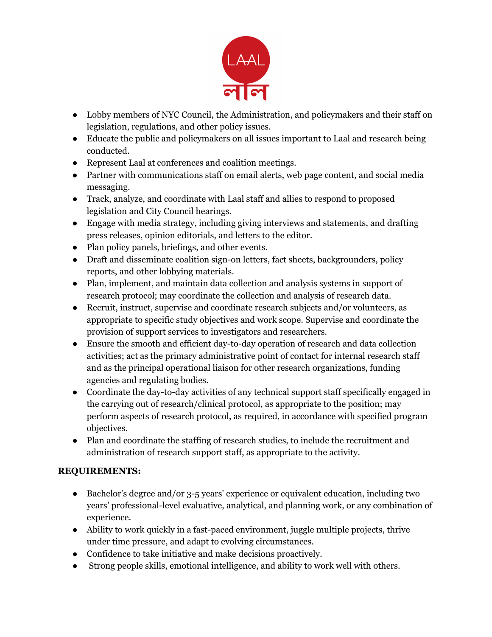

- Lobby members of NYC Council, the Administration, and policymakers and their staff on legislation, regulations, and other policy issues.
- Educate the public and policymakers on all issues important to Laal and research being conducted.
- Represent Laal at conferences and coalition meetings.
- Partner with communications staff on email alerts, web page content, and social media messaging.
- Track, analyze, and coordinate with Laal staff and allies to respond to proposed legislation and City Council hearings.
- Engage with media strategy, including giving interviews and statements, and drafting press releases, opinion editorials, and letters to the editor.
- Plan policy panels, briefings, and other events.
- Draft and disseminate coalition sign-on letters, fact sheets, backgrounders, policy reports, and other lobbying materials.
- Plan, implement, and maintain data collection and analysis systems in support of research protocol; may coordinate the collection and analysis of research data.
- Recruit, instruct, supervise and coordinate research subjects and/or volunteers, as appropriate to specific study objectives and work scope. Supervise and coordinate the provision of support services to investigators and researchers.
- Ensure the smooth and efficient day-to-day operation of research and data collection activities; act as the primary administrative point of contact for internal research staff and as the principal operational liaison for other research organizations, funding agencies and regulating bodies.
- Coordinate the day-to-day activities of any technical support staff specifically engaged in the carrying out of research/clinical protocol, as appropriate to the position; may perform aspects of research protocol, as required, in accordance with specified program objectives.
- Plan and coordinate the staffing of research studies, to include the recruitment and administration of research support staff, as appropriate to the activity.

## **REQUIREMENTS:**

- Bachelor's degree and/or 3-5 years' experience or equivalent education, including two years' professional-level evaluative, analytical, and planning work, or any combination of experience.
- Ability to work quickly in a fast-paced environment, juggle multiple projects, thrive under time pressure, and adapt to evolving circumstances.
- Confidence to take initiative and make decisions proactively.
- Strong people skills, emotional intelligence, and ability to work well with others.